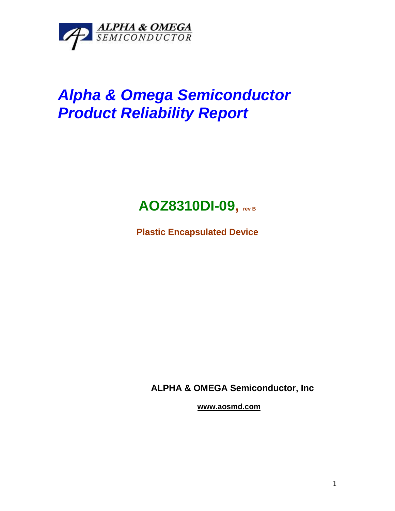

## *Alpha & Omega Semiconductor Product Reliability Report*



**Plastic Encapsulated Device**

**ALPHA & OMEGA Semiconductor, Inc**

**www.aosmd.com**